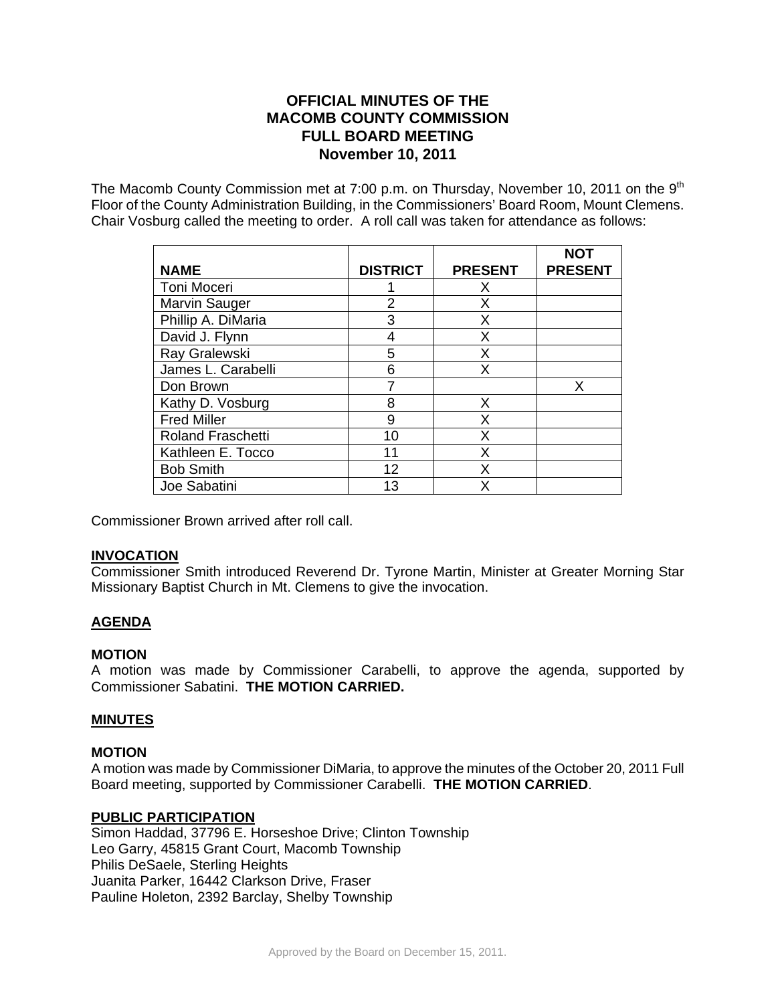# **OFFICIAL MINUTES OF THE MACOMB COUNTY COMMISSION FULL BOARD MEETING November 10, 2011**

The Macomb County Commission met at 7:00 p.m. on Thursday, November 10, 2011 on the 9<sup>th</sup> Floor of the County Administration Building, in the Commissioners' Board Room, Mount Clemens. Chair Vosburg called the meeting to order. A roll call was taken for attendance as follows:

|                          |                 |                | <b>NOT</b>     |
|--------------------------|-----------------|----------------|----------------|
| <b>NAME</b>              | <b>DISTRICT</b> | <b>PRESENT</b> | <b>PRESENT</b> |
| Toni Moceri              |                 | X              |                |
| <b>Marvin Sauger</b>     | 2               | X              |                |
| Phillip A. DiMaria       | 3               | X              |                |
| David J. Flynn           | 4               | X              |                |
| Ray Gralewski            | 5               | X              |                |
| James L. Carabelli       | 6               | X              |                |
| Don Brown                |                 |                | x              |
| Kathy D. Vosburg         | 8               | X              |                |
| <b>Fred Miller</b>       | 9               | X              |                |
| <b>Roland Fraschetti</b> | 10              | X              |                |
| Kathleen E. Tocco        | 11              | x              |                |
| <b>Bob Smith</b>         | 12              | x              |                |
| Joe Sabatini             | 13              | x              |                |

Commissioner Brown arrived after roll call.

### **INVOCATION**

Commissioner Smith introduced Reverend Dr. Tyrone Martin, Minister at Greater Morning Star Missionary Baptist Church in Mt. Clemens to give the invocation.

## **AGENDA**

### **MOTION**

A motion was made by Commissioner Carabelli, to approve the agenda, supported by Commissioner Sabatini. **THE MOTION CARRIED.** 

### **MINUTES**

### **MOTION**

A motion was made by Commissioner DiMaria, to approve the minutes of the October 20, 2011 Full Board meeting, supported by Commissioner Carabelli. **THE MOTION CARRIED**.

### **PUBLIC PARTICIPATION**

Simon Haddad, 37796 E. Horseshoe Drive; Clinton Township Leo Garry, 45815 Grant Court, Macomb Township Philis DeSaele, Sterling Heights Juanita Parker, 16442 Clarkson Drive, Fraser Pauline Holeton, 2392 Barclay, Shelby Township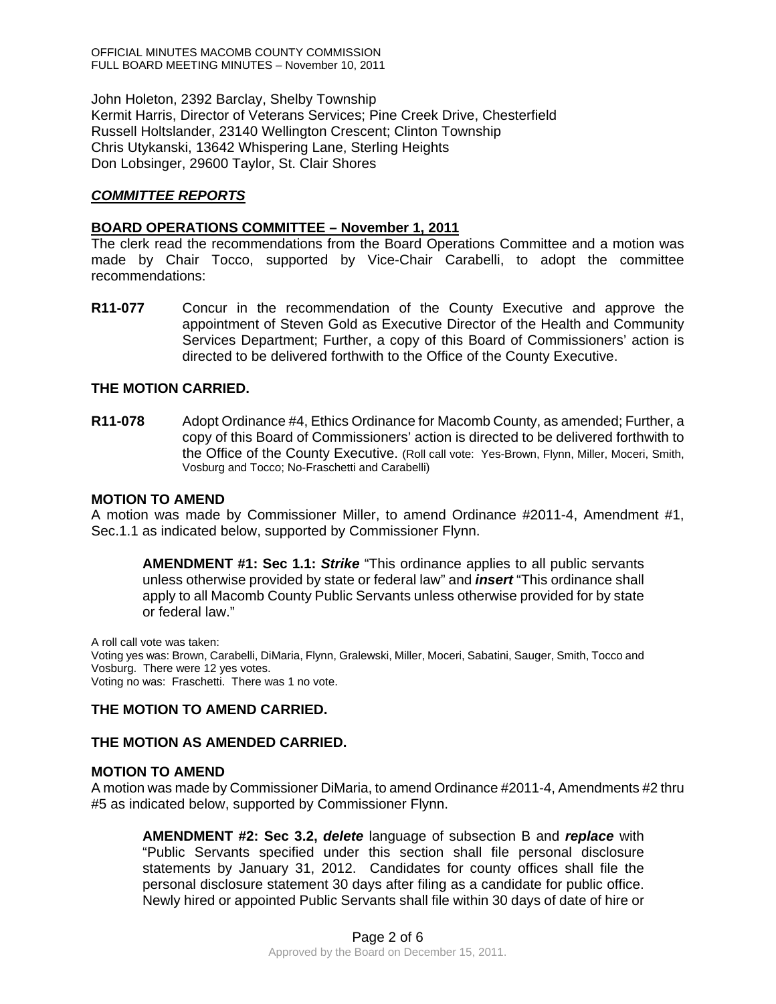John Holeton, 2392 Barclay, Shelby Township Kermit Harris, Director of Veterans Services; Pine Creek Drive, Chesterfield Russell Holtslander, 23140 Wellington Crescent; Clinton Township Chris Utykanski, 13642 Whispering Lane, Sterling Heights Don Lobsinger, 29600 Taylor, St. Clair Shores

## *COMMITTEE REPORTS*

#### **BOARD OPERATIONS COMMITTEE – November 1, 2011**

The clerk read the recommendations from the Board Operations Committee and a motion was made by Chair Tocco, supported by Vice-Chair Carabelli, to adopt the committee recommendations:

**R11-077** Concur in the recommendation of the County Executive and approve the appointment of Steven Gold as Executive Director of the Health and Community Services Department; Further, a copy of this Board of Commissioners' action is directed to be delivered forthwith to the Office of the County Executive.

### **THE MOTION CARRIED.**

**R11-078** Adopt Ordinance #4, Ethics Ordinance for Macomb County, as amended; Further, a copy of this Board of Commissioners' action is directed to be delivered forthwith to the Office of the County Executive. (Roll call vote: Yes-Brown, Flynn, Miller, Moceri, Smith, Vosburg and Tocco; No-Fraschetti and Carabelli)

#### **MOTION TO AMEND**

A motion was made by Commissioner Miller, to amend Ordinance #2011-4, Amendment #1, Sec.1.1 as indicated below, supported by Commissioner Flynn.

**AMENDMENT #1: Sec 1.1:** *Strike* "This ordinance applies to all public servants unless otherwise provided by state or federal law" and *insert* "This ordinance shall apply to all Macomb County Public Servants unless otherwise provided for by state or federal law."

A roll call vote was taken: Voting yes was: Brown, Carabelli, DiMaria, Flynn, Gralewski, Miller, Moceri, Sabatini, Sauger, Smith, Tocco and Vosburg. There were 12 yes votes. Voting no was: Fraschetti. There was 1 no vote.

### **THE MOTION TO AMEND CARRIED.**

### **THE MOTION AS AMENDED CARRIED.**

#### **MOTION TO AMEND**

A motion was made by Commissioner DiMaria, to amend Ordinance #2011-4, Amendments #2 thru #5 as indicated below, supported by Commissioner Flynn.

**AMENDMENT #2: Sec 3.2,** *delete* language of subsection B and *replace* with "Public Servants specified under this section shall file personal disclosure statements by January 31, 2012. Candidates for county offices shall file the personal disclosure statement 30 days after filing as a candidate for public office. Newly hired or appointed Public Servants shall file within 30 days of date of hire or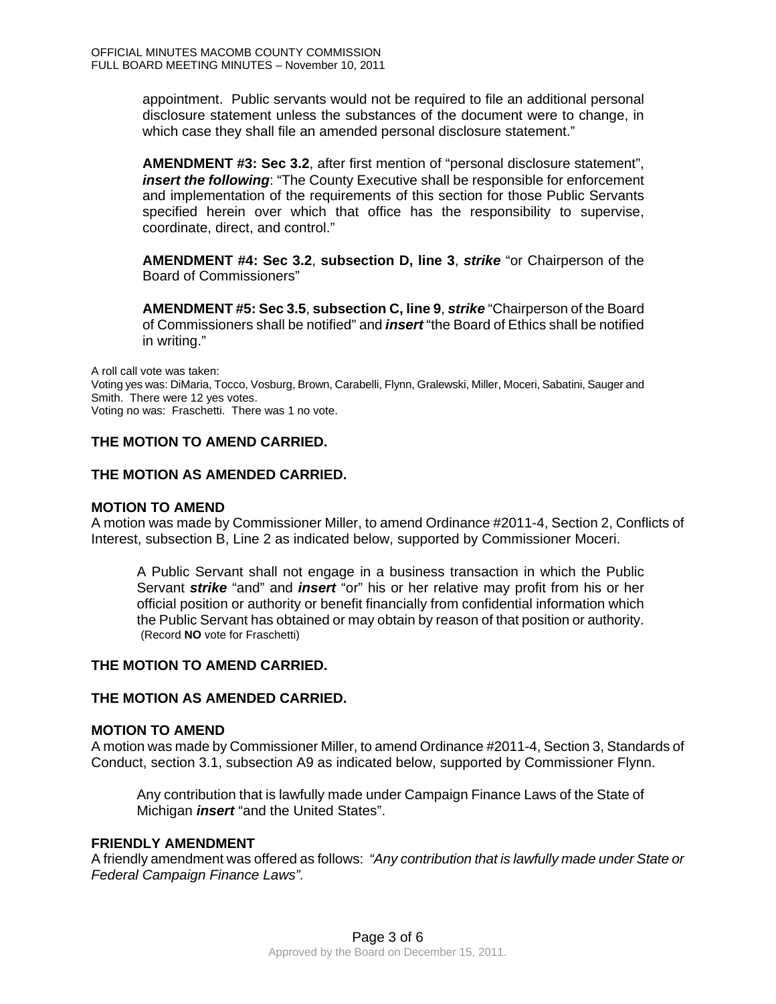appointment. Public servants would not be required to file an additional personal disclosure statement unless the substances of the document were to change, in which case they shall file an amended personal disclosure statement."

**AMENDMENT #3: Sec 3.2**, after first mention of "personal disclosure statement", *insert the following*: "The County Executive shall be responsible for enforcement and implementation of the requirements of this section for those Public Servants specified herein over which that office has the responsibility to supervise, coordinate, direct, and control."

**AMENDMENT #4: Sec 3.2**, **subsection D, line 3**, *strike* "or Chairperson of the Board of Commissioners"

**AMENDMENT #5: Sec 3.5**, **subsection C, line 9**, *strike* "Chairperson of the Board of Commissioners shall be notified" and *insert* "the Board of Ethics shall be notified in writing."

A roll call vote was taken:

Voting yes was: DiMaria, Tocco, Vosburg, Brown, Carabelli, Flynn, Gralewski, Miller, Moceri, Sabatini, Sauger and Smith. There were 12 yes votes. Voting no was: Fraschetti. There was 1 no vote.

## **THE MOTION TO AMEND CARRIED.**

## **THE MOTION AS AMENDED CARRIED.**

#### **MOTION TO AMEND**

A motion was made by Commissioner Miller, to amend Ordinance #2011-4, Section 2, Conflicts of Interest, subsection B, Line 2 as indicated below, supported by Commissioner Moceri.

A Public Servant shall not engage in a business transaction in which the Public Servant *strike* "and" and *insert* "or" his or her relative may profit from his or her official position or authority or benefit financially from confidential information which the Public Servant has obtained or may obtain by reason of that position or authority. (Record **NO** vote for Fraschetti)

### **THE MOTION TO AMEND CARRIED.**

### **THE MOTION AS AMENDED CARRIED.**

#### **MOTION TO AMEND**

A motion was made by Commissioner Miller, to amend Ordinance #2011-4, Section 3, Standards of Conduct, section 3.1, subsection A9 as indicated below, supported by Commissioner Flynn.

Any contribution that is lawfully made under Campaign Finance Laws of the State of Michigan *insert* "and the United States".

### **FRIENDLY AMENDMENT**

A friendly amendment was offered as follows: *"Any contribution that is lawfully made under State or Federal Campaign Finance Laws".*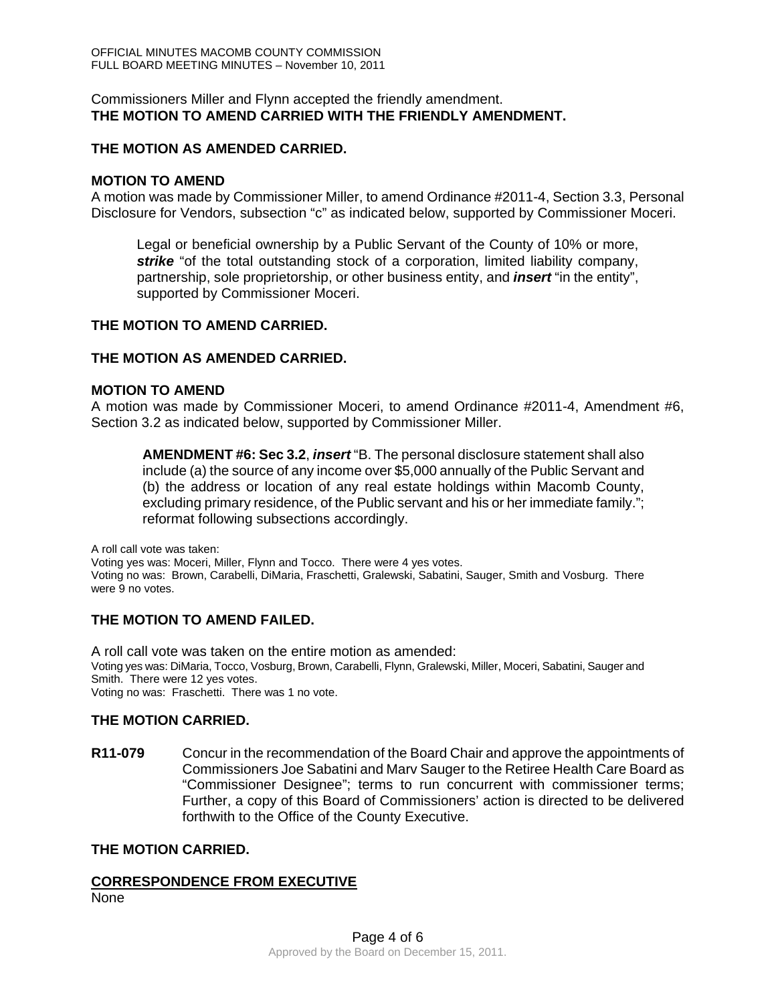### Commissioners Miller and Flynn accepted the friendly amendment. **THE MOTION TO AMEND CARRIED WITH THE FRIENDLY AMENDMENT.**

### **THE MOTION AS AMENDED CARRIED.**

### **MOTION TO AMEND**

A motion was made by Commissioner Miller, to amend Ordinance #2011-4, Section 3.3, Personal Disclosure for Vendors, subsection "c" as indicated below, supported by Commissioner Moceri.

Legal or beneficial ownership by a Public Servant of the County of 10% or more, *strike* "of the total outstanding stock of a corporation, limited liability company, partnership, sole proprietorship, or other business entity, and *insert* "in the entity", supported by Commissioner Moceri.

### **THE MOTION TO AMEND CARRIED.**

### **THE MOTION AS AMENDED CARRIED.**

### **MOTION TO AMEND**

A motion was made by Commissioner Moceri, to amend Ordinance #2011-4, Amendment #6, Section 3.2 as indicated below, supported by Commissioner Miller.

**AMENDMENT #6: Sec 3.2**, *insert* "B. The personal disclosure statement shall also include (a) the source of any income over \$5,000 annually of the Public Servant and (b) the address or location of any real estate holdings within Macomb County, excluding primary residence, of the Public servant and his or her immediate family."; reformat following subsections accordingly.

A roll call vote was taken:

Voting yes was: Moceri, Miller, Flynn and Tocco. There were 4 yes votes. Voting no was: Brown, Carabelli, DiMaria, Fraschetti, Gralewski, Sabatini, Sauger, Smith and Vosburg. There were 9 no votes.

## **THE MOTION TO AMEND FAILED.**

A roll call vote was taken on the entire motion as amended: Voting yes was: DiMaria, Tocco, Vosburg, Brown, Carabelli, Flynn, Gralewski, Miller, Moceri, Sabatini, Sauger and Smith. There were 12 yes votes. Voting no was: Fraschetti. There was 1 no vote.

### **THE MOTION CARRIED.**

**R11-079** Concur in the recommendation of the Board Chair and approve the appointments of Commissioners Joe Sabatini and Marv Sauger to the Retiree Health Care Board as "Commissioner Designee"; terms to run concurrent with commissioner terms; Further, a copy of this Board of Commissioners' action is directed to be delivered forthwith to the Office of the County Executive.

### **THE MOTION CARRIED.**

### **CORRESPONDENCE FROM EXECUTIVE**

None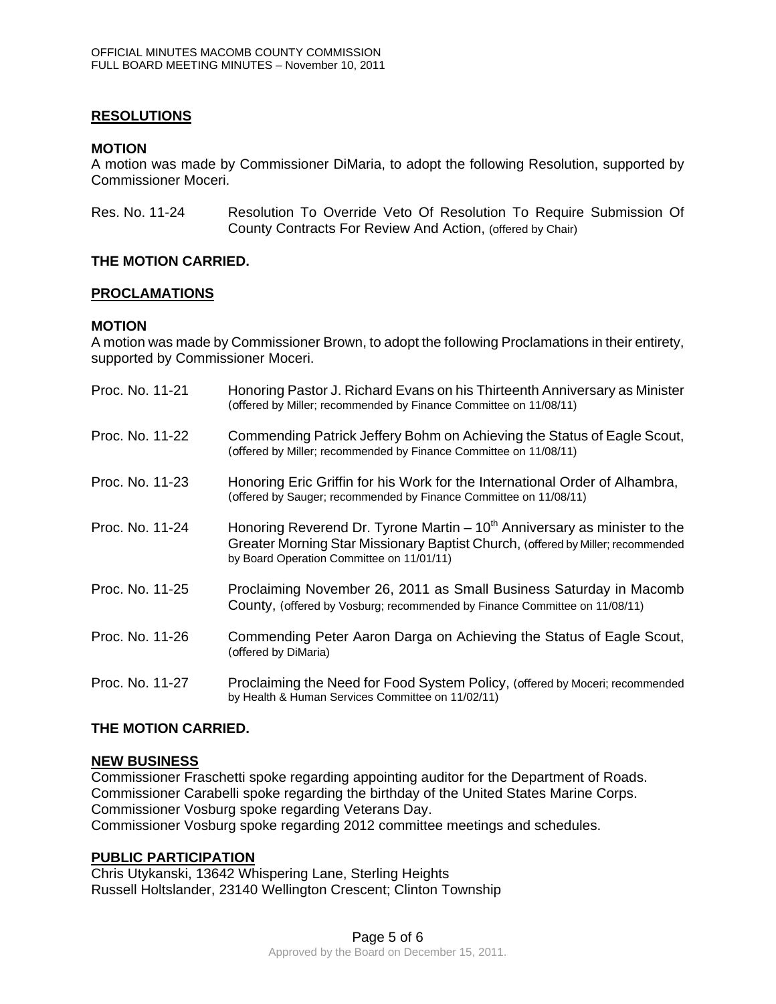### **RESOLUTIONS**

### **MOTION**

A motion was made by Commissioner DiMaria, to adopt the following Resolution, supported by Commissioner Moceri.

Res. No. 11-24 Resolution To Override Veto Of Resolution To Require Submission Of County Contracts For Review And Action, (offered by Chair)

### **THE MOTION CARRIED.**

### **PROCLAMATIONS**

### **MOTION**

A motion was made by Commissioner Brown, to adopt the following Proclamations in their entirety, supported by Commissioner Moceri.

| Proc. No. 11-21 | Honoring Pastor J. Richard Evans on his Thirteenth Anniversary as Minister<br>(offered by Miller; recommended by Finance Committee on 11/08/11)                                                               |
|-----------------|---------------------------------------------------------------------------------------------------------------------------------------------------------------------------------------------------------------|
| Proc. No. 11-22 | Commending Patrick Jeffery Bohm on Achieving the Status of Eagle Scout,<br>(offered by Miller; recommended by Finance Committee on 11/08/11)                                                                  |
| Proc. No. 11-23 | Honoring Eric Griffin for his Work for the International Order of Alhambra,<br>(offered by Sauger; recommended by Finance Committee on 11/08/11)                                                              |
| Proc. No. 11-24 | Honoring Reverend Dr. Tyrone Martin $-10^{th}$ Anniversary as minister to the<br>Greater Morning Star Missionary Baptist Church, (offered by Miller; recommended<br>by Board Operation Committee on 11/01/11) |
| Proc. No. 11-25 | Proclaiming November 26, 2011 as Small Business Saturday in Macomb<br>County, (offered by Vosburg; recommended by Finance Committee on 11/08/11)                                                              |
| Proc. No. 11-26 | Commending Peter Aaron Darga on Achieving the Status of Eagle Scout,<br>(offered by DiMaria)                                                                                                                  |
| Proc. No. 11-27 | Proclaiming the Need for Food System Policy, (offered by Moceri; recommended<br>by Health & Human Services Committee on 11/02/11)                                                                             |

### **THE MOTION CARRIED.**

### **NEW BUSINESS**

Commissioner Fraschetti spoke regarding appointing auditor for the Department of Roads. Commissioner Carabelli spoke regarding the birthday of the United States Marine Corps. Commissioner Vosburg spoke regarding Veterans Day. Commissioner Vosburg spoke regarding 2012 committee meetings and schedules.

### **PUBLIC PARTICIPATION**

Chris Utykanski, 13642 Whispering Lane, Sterling Heights Russell Holtslander, 23140 Wellington Crescent; Clinton Township